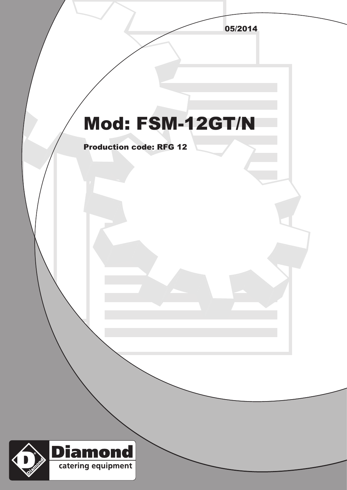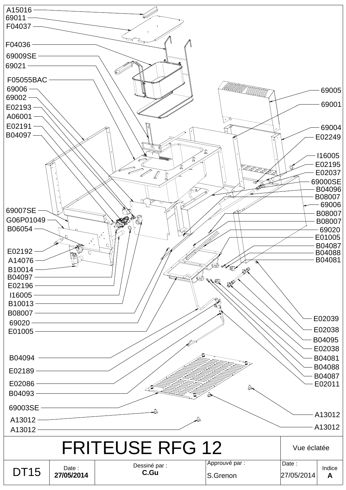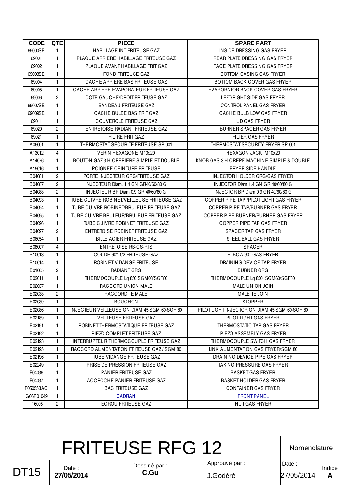| <b>CODE</b> | QTE            | <b>PIECE</b>                                 | <b>SPARE PART</b>                             |
|-------------|----------------|----------------------------------------------|-----------------------------------------------|
| 69000SE     | $\mathbf{1}$   | HABILLAGE INT FRITEUSE GAZ                   | INSIDE DRESSING GAS FRYER                     |
| 69001       | $\mathbf{1}$   | PLAQUE ARRIERE HABILLAGE FRITEUSE GAZ        | REAR PLATE DRESSING GAS FRYER                 |
| 69002       | $\overline{1}$ | PLAQUE AVANT HABILLAGE FRIT GAZ              | FACE PLATE DRESSING GAS FRYER                 |
| 69003SE     | $\mathbf{1}$   | FOND FRITEUSE GAZ                            | <b>BOTTOM CASING GAS FRYER</b>                |
| 69004       | $\mathbf{1}$   | CACHE ARRIERE BAS FRITEUSE GAZ               | BOTTOM BACK COVER GAS FRYER                   |
| 69005       | $\mathbf{1}$   | CACHE ARRIERE EVAPORATEUR FRITEUSE GAZ       | EVAPORATOR BACK COVER GAS FRYER               |
| 69006       | $\overline{2}$ | COTE GAUCHE/DROIT FRITEUSE GAZ               | LEFT/RIGHT SIDE GAS FRYER                     |
| 69007SE     | $\mathbf{1}$   | <b>BANDEAU FRITEUSE GAZ</b>                  | <b>CONTROL PANEL GAS FRYER</b>                |
| 69009SE     | $\mathbf{1}$   | CACHE BULBE BAS FRIT GAZ                     | CACHE BULB LOW GAS FRYER                      |
| 69011       | $\mathbf{1}$   | COUVERCLE FRITEUSE GAZ                       | <b>LID GAS FRYER</b>                          |
| 69020       | $\overline{c}$ | ENTRETOISE RADIANT FRITEUSE GAZ              | <b>BURNER SPACER GAS FRYER</b>                |
| 69021       | $\mathbf{1}$   | FILTRE FRIT GAZ                              | FILTER GAS FRYER                              |
| A06001      | $\mathbf{1}$   | THERMOSTAT SECURITE FRITEUSE SP 001          | THERMOSTAT SECURITY FRYER SP 001              |
| A13012      | $\overline{4}$ | VERIN HEXAGONE M10x20                        | HEXAGON JACK M10x20                           |
| A14076      | $\mathbf{1}$   | BOUTON GAZ3H CREPIERE SIMPLE ET DOUBLE       | KNOB GAS 3 H CREPE MACHINE SIMPLE & DOUBLE    |
| A15016      | $\mathbf{1}$   | POIGNEE CEINTURE FRITEUSE                    | FRYER SIDE HANDLE                             |
| B04081      | $\overline{c}$ | PORTE INJECTEUR GRG/FRITEUSE GAZ             | INJECTOR HOLDER GRG/GAS FRYER                 |
| B04087      | $\overline{c}$ | INJECTEUR Diam. 1.4 GN GR40/60/80 G          | INJECTOR Diam 1.4 GN GR 40/60/80 G            |
| B04088      | $\overline{2}$ | INJECTEUR BP Diam 0.9 GR 40/60/80 G          | INJECTOR BP Diam 0.9 GR 40/60/80 G            |
| B04093      | $\mathbf{1}$   | TUBE CUIVRE ROBINET/VEILLEUSE FRITEUSE GAZ   | COPPER PIPE TAP / PILOT LIGHT GAS FRYER       |
| B04094      | $\mathbf{1}$   | TUBE CUIVRE ROBINET/BRULEUR FRITEUSE GAZ     | COPPER PIPE TAP/BURNER GAS FRYER              |
| B04095      | $\mathbf{1}$   | TUBE CUIVRE BRULEUR/BRULEUR FRITEUSE GAZ     | COPPER PIPE BURNER/BURNER GAS FRYER           |
| B04096      | $\mathbf{1}$   | TUBE CUIVRE ROBINET FRITEUSE GAZ             | COPPER PIPE TAP GAS FRYER                     |
| B04097      | $\overline{2}$ | ENTRETOISE ROBINET FRITEUSE GAZ              | SPACER TAP GAS FRYER                          |
| B06054      | $\mathbf{1}$   | BILLE ACIER FRITEUSE GAZ                     | STEEL BALL GAS FRYER                          |
| B08007      | $\overline{4}$ | <b>ENTRETOISE RB-CS-RTS</b>                  | <b>SPACER</b>                                 |
| B10013      | $\mathbf{1}$   | COUDE 90° 1/2 FRITEUSE GAZ                   | ELBOW 90° GAS FRYER                           |
| B10014      | $\mathbf{1}$   | ROBINET VIDANGE FRITEUSE                     | DRAINING DEVICE TAP FRYER                     |
| E01005      | $\overline{c}$ | RADIANT GRG                                  | <b>BURNER GRG</b>                             |
| E02011      | $\mathbf{1}$   | THERMOCOUPLE Lg 850 SGM60/SGF80              | THERMOCOUPLE Lg 850 SGM60/SGF80               |
| E02037      | $\mathbf{1}$   | RACCORD UNION MALE                           | MALE UNION JOIN                               |
| E02038      | $\overline{2}$ | RACCORD TE MALE                              | MALE TE JOIN                                  |
| E02039      | 1              | <b>BOUCHON</b>                               | <b>STOPPER</b>                                |
| E02086      | $\mathbf{1}$   | INJECTEUR VEILLEUSE GN DIAM 45 SGM 60-SGF 80 | PILOT LIGHT INJECTOR GN DIAM 45 SGM 60-SGF 80 |
| E02189      | $\mathbf{1}$   | <b>VEILLEUSE FRITEUSE GAZ</b>                | PILOT LIGHT GAS FRYER                         |
| E02191      | $\mathbf{1}$   | ROBINET THERMOSTATIQUE FRITEUSE GAZ          | THERMOSTATIC TAP GAS FRYER                    |
| E02192      | 1              | PIEZO COMPLET FRITEUSE GAZ                   | PIEZO ASSEMBLY GAS FRYER                      |
| E02193      | $\mathbf{1}$   | INTERRUPTEUR THERMOCOUPLE FRITEUSE GAZ       | THERMOCOUPLE SWITCH GAS FRYER                 |
| E02195      | 1              | RACCORD ALIMENTATION FRITEUSE GAZ/SGM 80     | LINK ALIMENTATION GAS FRYER/SGM 80            |
| E02196      | $\mathbf{1}$   | TUBE VIDANGE FRITEUSE GAZ                    | DRAINING DEVICE PIPE GAS FRYER                |
| E02249      | 1              | PRISE DE PRESSION FRITEUSE GAZ               | TAKING PRESSURE GAS FRYER                     |
| F04036      | $\mathbf{1}$   | <b>PANIER FRITEUSE GAZ</b>                   | <b>BASKET GAS FRYER</b>                       |
| F04037      | $\mathbf{1}$   | ACCROCHE PANIER FRITEUSE GAZ                 | <b>BASKETHOLDER GAS FRYER</b>                 |
| F05055BAC   | $\mathbf{1}$   | <b>BAC FRITEUSE GAZ</b>                      | CONTAINER GAS FRYER                           |
| G06P01049   | $\mathbf{1}$   | <b>CADRAN</b>                                | <b>FRONT PANEL</b>                            |
| 116005      | $\overline{2}$ | ECROU FRITEUSE GAZ                           | <b>NUTGAS FRYER</b>                           |
|             |                |                                              |                                               |

| <b>FRITEUSE RFG 12</b>   |                 |
|--------------------------|-----------------|
| Dessiné nar <sup>.</sup> | 'Approuvé par : |

Nomenclature

DT15

Dessiné par : **C.Gu**

J.Godéré 27/05/2014

Date:

Indice **A**